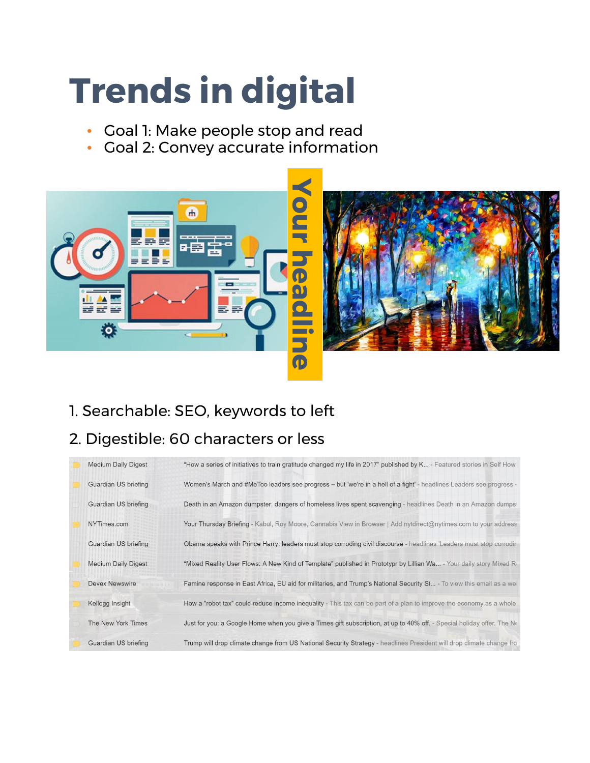## **Trends in digital**

- Goal 1: Make people stop and read
- Goal 2: Convey accurate information



- 1. Searchable: SEO, keywords to left
- 

| <b>Medium Daily Digest</b> | "How a series of initiatives to train gratitude changed my life in 2017" published by K - Featured stories in Self How |
|----------------------------|------------------------------------------------------------------------------------------------------------------------|
| Guardian US briefing       | Women's March and #MeToo leaders see progress - but 'we're in a hell of a fight' - headlines Leaders see progress -    |
| Guardian US briefing       | Death in an Amazon dumpster: dangers of homeless lives spent scavenging - headlines Death in an Amazon dumps:          |
| NYTimes.com                | Your Thursday Briefing - Kabul, Roy Moore, Cannabis View in Browser   Add nytdirect@nytimes.com to your address        |
| Guardian US briefing       | Obama speaks with Prince Harry: leaders must stop corroding civil discourse - headlines 'Leaders must stop corrodir    |
| <b>Medium Daily Digest</b> | "Mixed Reality User Flows: A New Kind of Template" published in Prototypr by Lillian Wa - Your daily story Mixed Re    |
| <b>Devex Newswire</b>      | Famine response in East Africa, EU aid for militaries, and Trump's National Security St - To view this email as a we   |
| Kellogg Insight            | How a "robot tax" could reduce income inequality - This tax can be part of a plan to improve the economy as a whole    |
| The New York Times         | Just for you: a Google Home when you give a Times gift subscription, at up to 40% off. - Special holiday offer. The Ne |
| Guardian US briefing       | Trump will drop climate change from US National Security Strategy - headlines President will drop climate change fro   |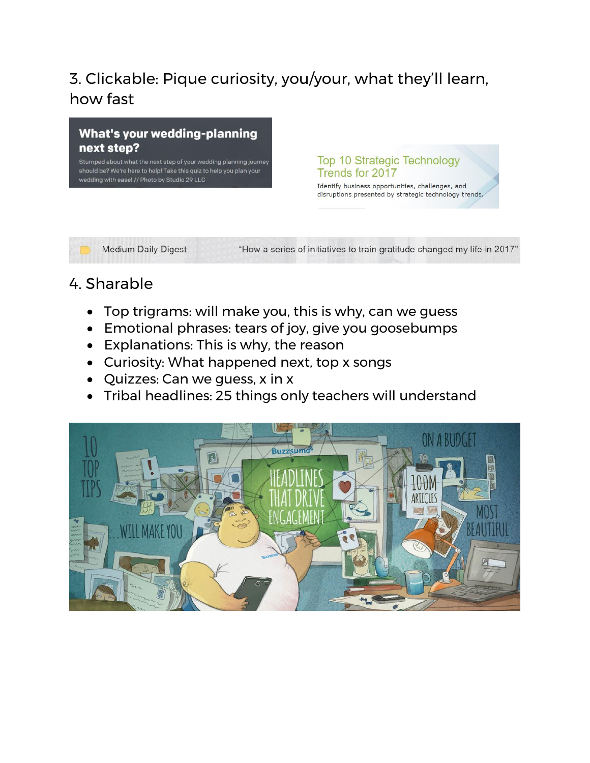## 3. Clickable: Pique curiosity, you/your, what they'll learn, how fast



Stumped about what the next step of your wedding planning journey should be? We're here to help! Take this quiz to help you plan your wedding with ease! // Photo by Studio 29 LLC

**Top 10 Strategic Technology** Trends for 2017

Identify business opportunities, challenges, and disruptions presented by strategic technology trends.

**Medium Daily Digest** 

"How a series of initiatives to train gratitude changed my life in 2017"

### 4. Sharable

- Top trigrams: will make you, this is why, can we guess
- Emotional phrases: tears of joy, give you goosebumps
- Explanations: This is why, the reason
- Curiosity: What happened next, top x songs
- Quizzes: Can we guess, x in x
- Tribal headlines: 25 things only teachers will understand

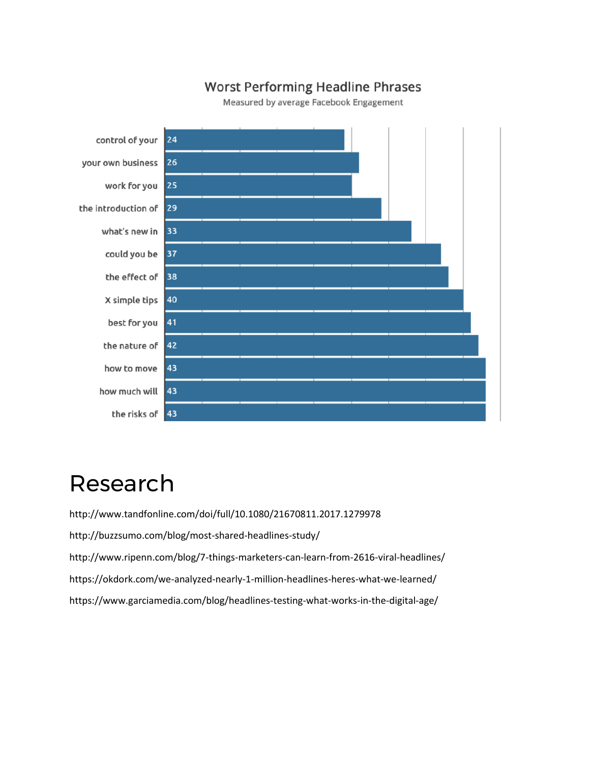#### **Worst Performing Headline Phrases**

Measured by average Facebook Engagement



## Research

http://www.tandfonline.com/doi/full/10.1080/21670811.2017.1279978

http://buzzsumo.com/blog/most-shared-headlines-study/

http://www.ripenn.com/blog/7-things-marketers-can-learn-from-2616-viral-headlines/

https://okdork.com/we-analyzed-nearly-1-million-headlines-heres-what-we-learned/

https://www.garciamedia.com/blog/headlines-testing-what-works-in-the-digital-age/